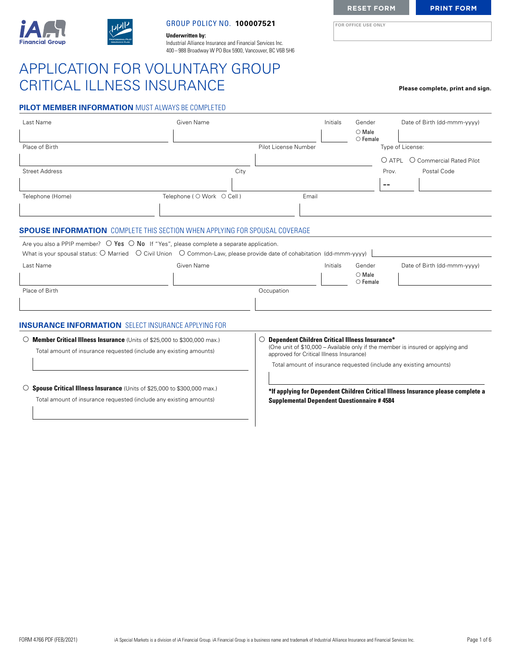

### GROUP POLICY NO. **100007521 FOR OFFICE USE ONLY**

**Underwritten by:** Industrial Alliance Insurance and Financial Services Inc. 400 – 988 Broadway W PO Box 5900, Vancouver, BC V6B 5H6

# APPLICATION FOR VOLUNTARY GROUP CRITICAL ILLNESS INSURANCE **Please complete, print and sign.**

| <b>PILOT MEMBER INFORMATION MUST ALWAYS BE COMPLETED</b> |
|----------------------------------------------------------|
|----------------------------------------------------------|

| Last Name                                                                                                                                       | Given Name                  |                                                                                                        | Initials | Gender<br>$\bigcirc$ Male<br>$\circ$ Female |       | Date of Birth (dd-mmm-yyyy)                                                      |
|-------------------------------------------------------------------------------------------------------------------------------------------------|-----------------------------|--------------------------------------------------------------------------------------------------------|----------|---------------------------------------------|-------|----------------------------------------------------------------------------------|
| Place of Birth                                                                                                                                  |                             | Pilot License Number                                                                                   |          |                                             |       | Type of License:                                                                 |
|                                                                                                                                                 |                             |                                                                                                        |          |                                             |       | O ATPL O Commercial Rated Pilot                                                  |
| <b>Street Address</b>                                                                                                                           | City                        |                                                                                                        |          |                                             | Prov. | Postal Code                                                                      |
|                                                                                                                                                 |                             |                                                                                                        |          |                                             | --    |                                                                                  |
| Telephone (Home)                                                                                                                                | Telephone ( O Work O Cell ) | Email                                                                                                  |          |                                             |       |                                                                                  |
|                                                                                                                                                 |                             |                                                                                                        |          |                                             |       |                                                                                  |
| <b>SPOUSE INFORMATION</b> COMPLETE THIS SECTION WHEN APPLYING FOR SPOUSAL COVERAGE                                                              |                             |                                                                                                        |          |                                             |       |                                                                                  |
| Are you also a PPIP member? $\bigcirc$ Yes $\bigcirc$ No If "Yes", please complete a separate application.                                      |                             |                                                                                                        |          |                                             |       |                                                                                  |
| What is your spousal status: $\bigcirc$ Married $\bigcirc$ Civil Union $\bigcirc$ Common-Law, please provide date of cohabitation (dd-mmm-yyyy) |                             |                                                                                                        |          |                                             |       |                                                                                  |
| Last Name                                                                                                                                       | Given Name                  |                                                                                                        | Initials | Gender<br>$\bigcirc$ Male                   |       | Date of Birth (dd-mmm-yyyy)                                                      |
|                                                                                                                                                 |                             |                                                                                                        |          | $\bigcirc$ Female                           |       |                                                                                  |
| Place of Birth                                                                                                                                  |                             | Occupation                                                                                             |          |                                             |       |                                                                                  |
|                                                                                                                                                 |                             |                                                                                                        |          |                                             |       |                                                                                  |
| <b>INSURANCE INFORMATION</b> SELECT INSURANCE APPLYING FOR                                                                                      |                             |                                                                                                        |          |                                             |       |                                                                                  |
| ○ Member Critical Illness Insurance (Units of \$25,000 to \$300,000 max.)<br>Total amount of insurance requested (include any existing amounts) |                             | <b>Dependent Children Critical Illness Insurance*</b><br>O<br>approved for Critical Illness Insurance) |          |                                             |       | (One unit of \$10,000 - Available only if the member is insured or applying and  |
|                                                                                                                                                 |                             |                                                                                                        |          |                                             |       | Total amount of insurance requested (include any existing amounts)               |
| ○ Spouse Critical Illness Insurance (Units of \$25,000 to \$300,000 max.)                                                                       |                             |                                                                                                        |          |                                             |       |                                                                                  |
| Total amount of insurance requested (include any existing amounts)                                                                              |                             | <b>Supplemental Dependent Questionnaire #4584</b>                                                      |          |                                             |       | *If applying for Dependent Children Critical Illness Insurance please complete a |
|                                                                                                                                                 |                             |                                                                                                        |          |                                             |       |                                                                                  |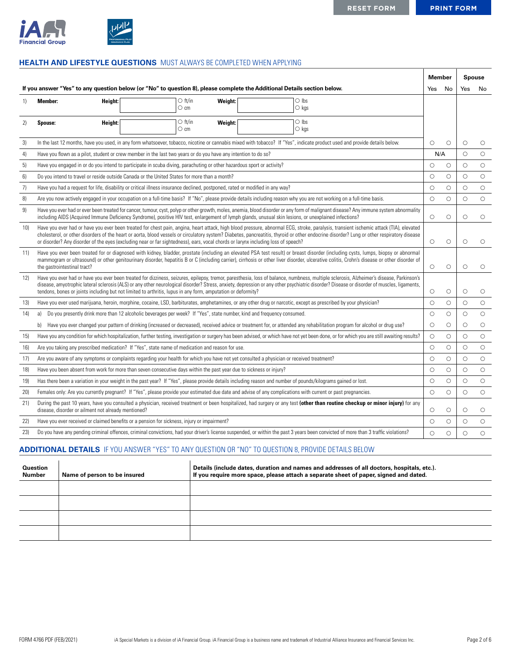

# **HEALTH AND LIFESTYLE QUESTIONS** MUST ALWAYS BE COMPLETED WHEN APPLYING

|                 |                                                                                                                                                                                                                                                                                                                                                                                                                                                                                                                          | <b>Member</b> |            |            | <b>Spouse</b> |
|-----------------|--------------------------------------------------------------------------------------------------------------------------------------------------------------------------------------------------------------------------------------------------------------------------------------------------------------------------------------------------------------------------------------------------------------------------------------------------------------------------------------------------------------------------|---------------|------------|------------|---------------|
|                 | If you answer "Yes" to any question below (or "No" to question 8), please complete the Additional Details section below.                                                                                                                                                                                                                                                                                                                                                                                                 | Yes           | No         | Yes        | No            |
| 1)              | $\circ$ ft/in<br>$\bigcirc$ lbs<br><b>Member:</b><br>Height:<br>Weight:<br>$\circ$ cm<br>$\circ$ kgs                                                                                                                                                                                                                                                                                                                                                                                                                     |               |            |            |               |
| 2)              | $\circ$ ft/in<br>$\bigcirc$ lbs<br>Weight:<br>Spouse:<br>Height:<br>$\circ$ cm<br>$\circ$ kgs                                                                                                                                                                                                                                                                                                                                                                                                                            |               |            |            |               |
| 3)              | In the last 12 months, have you used, in any form whatsoever, tobacco, nicotine or cannabis mixed with tobacco? If "Yes", indicate product used and provide details below.                                                                                                                                                                                                                                                                                                                                               | $\circ$       | $\circ$    | О          | O             |
| 4)              | Have you flown as a pilot, student or crew member in the last two years or do you have any intention to do so?                                                                                                                                                                                                                                                                                                                                                                                                           | N/A           |            | $\circ$    | $\circ$       |
| 5)              | Have you engaged in or do you intend to participate in scuba diving, parachuting or other hazardous sport or activity?                                                                                                                                                                                                                                                                                                                                                                                                   | $\circ$       | $\circ$    | $\bigcirc$ | $\bigcirc$    |
| 6)              | Do you intend to travel or reside outside Canada or the United States for more than a month?                                                                                                                                                                                                                                                                                                                                                                                                                             | $\circ$       | $\circ$    | $\circ$    | $\bigcirc$    |
| 7)              | Have you had a request for life, disability or critical illness insurance declined, postponed, rated or modified in any way?                                                                                                                                                                                                                                                                                                                                                                                             | $\circ$       | $\circ$    | $\bigcirc$ | $\bigcirc$    |
| 8)              | Are you now actively engaged in your occupation on a full-time basis? If "No", please provide details including reason why you are not working on a full-time basis.                                                                                                                                                                                                                                                                                                                                                     | $\circ$       | $\circ$    | $\circ$    | $\circ$       |
| 9)              | Have you ever had or ever been treated for cancer, tumour, cyst, polyp or other growth, moles, anemia, blood disorder or any form of malignant disease? Any immune system abnormality<br>including AIDS (Acquired Immune Deficiency Syndrome), positive HIV test, enlargement of lymph glands, unusual skin lesions, or unexplained infections?                                                                                                                                                                          | $\circ$       | $\circ$    | $\circ$    | $\bigcirc$    |
| 10 <sub>l</sub> | Have you ever had or have you ever been treated for chest pain, angina, heart attack, high blood pressure, abnormal ECG, stroke, paralysis, transient ischemic attack (TIA), elevated<br>cholesterol, or other disorders of the heart or aorta, blood vessels or circulatory system? Diabetes, pancreatitis, thyroid or other endocrine disorder? Lung or other respiratory disease<br>or disorder? Any disorder of the eyes (excluding near or far sightedness), ears, vocal chords or larynx including loss of speech? | $\circ$       | $\circ$    | $\circ$    | $\circ$       |
| 11)             | Have you ever been treated for or diagnosed with kidney, bladder, prostate (including an elevated PSA test result) or breast disorder (including cysts, lumps, biopsy or abnormal<br>mammogram or ultrasound) or other genitourinary disorder, hepatitis B or C (including carrier), cirrhosis or other liver disorder, ulcerative colitis, Crohn's disease or other disorder of<br>the gastrointestinal tract?                                                                                                          | $\bigcirc$    | $\circ$    | $\circ$    | $\circ$       |
| 12)             | Have you ever had or have you ever been treated for dizziness, seizures, epilepsy, tremor, paresthesia, loss of balance, numbness, multiple sclerosis, Alzheimer's disease, Parkinson's<br>disease, amyotrophic lateral sclerosis (ALS) or any other neurological disorder? Stress, anxiety, depression or any other psychiatric disorder? Disease or disorder of muscles, ligaments,<br>tendons, bones or joints including but not limited to arthritis, lupus in any form, amputation or deformity?                    | $\circ$       | $\circ$    | $\circ$    | $\circ$       |
| 13)             | Have you ever used marijuana, heroin, morphine, cocaine, LSD, barbiturates, amphetamines, or any other drug or narcotic, except as prescribed by your physician?                                                                                                                                                                                                                                                                                                                                                         | $\circ$       | $\circ$    | $\circ$    | $\bigcirc$    |
| 14)             | Do you presently drink more than 12 alcoholic beverages per week? If "Yes", state number, kind and frequency consumed.<br>a)                                                                                                                                                                                                                                                                                                                                                                                             | $\circ$       | $\circ$    | $\circ$    | $\circ$       |
|                 | Have you ever changed your pattern of drinking (increased or decreased), received advice or treatment for, or attended any rehabilitation program for alcohol or drug use?<br>b)                                                                                                                                                                                                                                                                                                                                         | $\circ$       | $\circ$    | $\circ$    | $\circ$       |
| 15)             | Have you any condition for which hospitalization, further testing, investigation or surgery has been advised, or which have not yet been done, or for which you are still awaiting results?                                                                                                                                                                                                                                                                                                                              | $\circ$       | $\circ$    | $\circ$    | $\bigcirc$    |
| 16)             | Are you taking any prescribed medication? If "Yes", state name of medication and reason for use.                                                                                                                                                                                                                                                                                                                                                                                                                         | $\circ$       | $\bigcirc$ | $\bigcirc$ | $\bigcirc$    |
| 17)             | Are you aware of any symptoms or complaints regarding your health for which you have not yet consulted a physician or received treatment?                                                                                                                                                                                                                                                                                                                                                                                | $\circ$       | $\circ$    | $\bigcirc$ | $\bigcirc$    |
| 18)             | Have you been absent from work for more than seven consecutive days within the past year due to sickness or injury?                                                                                                                                                                                                                                                                                                                                                                                                      | $\circ$       | $\circ$    | $\circ$    | $\bigcirc$    |
| 19)             | Has there been a variation in your weight in the past year? If "Yes", please provide details including reason and number of pounds/kilograms gained or lost.                                                                                                                                                                                                                                                                                                                                                             | $\circ$       | $\circ$    | $\circ$    | $\bigcirc$    |
| 20 <sub>l</sub> | Females only: Are you currently pregnant? If "Yes", please provide your estimated due date and advise of any complications with current or past pregnancies.                                                                                                                                                                                                                                                                                                                                                             | $\circ$       | $\circ$    | $\circ$    | $\circ$       |
| 21)             | During the past 10 years, have you consulted a physician, received treatment or been hospitalized, had surgery or any test (other than routine checkup or minor injury) for any<br>disease, disorder or ailment not already mentioned?                                                                                                                                                                                                                                                                                   | $\circ$       | $\circ$    | $\circ$    | $\circ$       |
| 22)             | Have you ever received or claimed benefits or a pension for sickness, injury or impairment?                                                                                                                                                                                                                                                                                                                                                                                                                              | $\circ$       | $\bigcirc$ | $\bigcirc$ | $\bigcirc$    |
| 23)             | Do you have any pending criminal offences, criminal convictions, had your driver's license suspended, or within the past 3 years been convicted of more than 3 traffic violations?                                                                                                                                                                                                                                                                                                                                       | $\circ$       | $\circ$    | $\circ$    | $\circ$       |

## **ADDITIONAL DETAILS** IF YOU ANSWER "YES" TO ANY QUESTION OR "NO" TO QUESTION 8, PROVIDE DETAILS BELOW

| <b>Question</b><br><b>Number</b> | Name of person to be insured | Details (include dates, duration and names and addresses of all doctors, hospitals, etc.).<br>If you require more space, please attach a separate sheet of paper, signed and dated. |
|----------------------------------|------------------------------|-------------------------------------------------------------------------------------------------------------------------------------------------------------------------------------|
|                                  |                              |                                                                                                                                                                                     |
|                                  |                              |                                                                                                                                                                                     |
|                                  |                              |                                                                                                                                                                                     |
|                                  |                              |                                                                                                                                                                                     |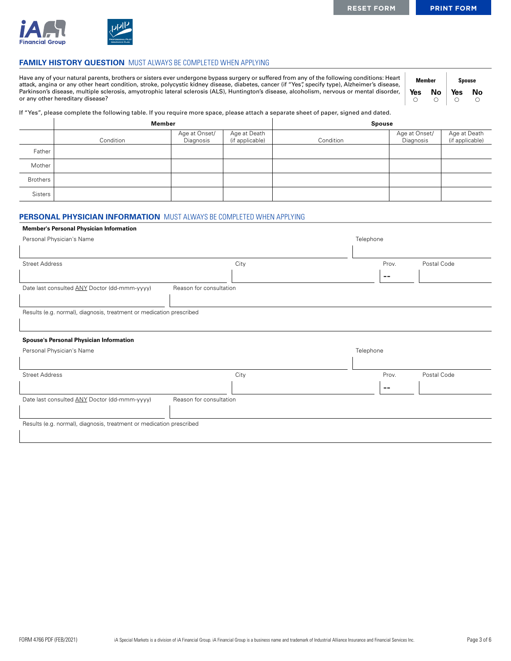

### **FAMILY HISTORY QUESTION** MUST ALWAYS BE COMPLETED WHEN APPLYING

Have any of your natural parents, brothers or sisters ever undergone bypass surgery or suffered from any of the following conditions: Heart attack, angina or any other heart condition, stroke, polycystic kidney disease, diabetes, cancer (if "Yes", specify type), Alzheimer's disease, Parkinson's disease, multiple sclerosis, amyotrophic lateral sclerosis (ALS), Huntington's disease, alcoholism, nervous or mental disorder, or any other hereditary disease?

| Member |    | <b>Spouse</b> |    |
|--------|----|---------------|----|
| Yes    | No | Yes           | No |
|        |    | . .           |    |

If "Yes", please complete the following table. If you require more space, please attach a separate sheet of paper, signed and dated.

|                 | <b>Member</b> |                            |                                 | <b>Spouse</b> |                            |                                 |  |
|-----------------|---------------|----------------------------|---------------------------------|---------------|----------------------------|---------------------------------|--|
|                 | Condition     | Age at Onset/<br>Diagnosis | Age at Death<br>(if applicable) | Condition     | Age at Onset/<br>Diagnosis | Age at Death<br>(if applicable) |  |
| Father          |               |                            |                                 |               |                            |                                 |  |
| Mother          |               |                            |                                 |               |                            |                                 |  |
| <b>Brothers</b> |               |                            |                                 |               |                            |                                 |  |
| Sisters         |               |                            |                                 |               |                            |                                 |  |

### **PERSONAL PHYSICIAN INFORMATION** MUST ALWAYS BE COMPLETED WHEN APPLYING

### **Member's Personal Physician Information**

| Personal Physician's Name                                            |                         | Telephone |       |             |
|----------------------------------------------------------------------|-------------------------|-----------|-------|-------------|
|                                                                      |                         |           |       |             |
| <b>Street Address</b>                                                | City                    |           | Prov. | Postal Code |
|                                                                      |                         |           | --    |             |
| Date last consulted ANY Doctor (dd-mmm-yyyy)                         | Reason for consultation |           |       |             |
|                                                                      |                         |           |       |             |
| Results (e.g. normal), diagnosis, treatment or medication prescribed |                         |           |       |             |
|                                                                      |                         |           |       |             |
| <b>Spouse's Personal Physician Information</b>                       |                         |           |       |             |
| Personal Physician's Name                                            |                         | Telephone |       |             |
|                                                                      |                         |           |       |             |
| <b>Street Address</b>                                                | City                    |           | Prov. | Postal Code |
|                                                                      |                         |           | --    |             |
| Date last consulted ANY Doctor (dd-mmm-yyyy)                         | Reason for consultation |           |       |             |
|                                                                      |                         |           |       |             |
| Results (e.g. normal), diagnosis, treatment or medication prescribed |                         |           |       |             |
|                                                                      |                         |           |       |             |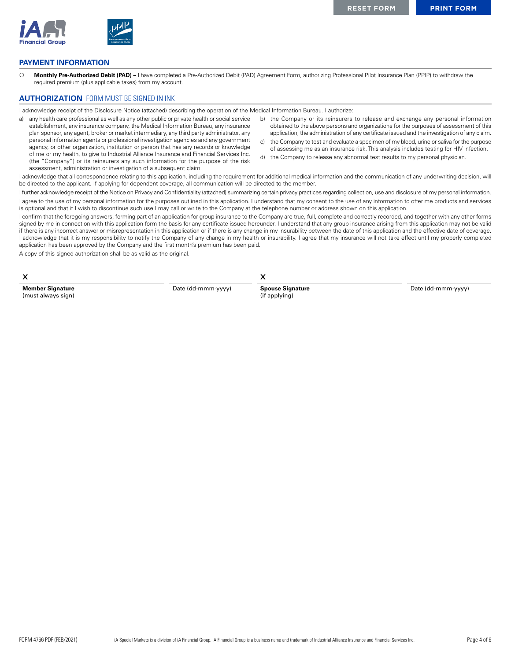

## **PAYMENT INFORMATION**

{ **Monthly Pre-Authorized Debit (PAD) –** I have completed a Pre-Authorized Debit (PAD) Agreement Form, authorizing Professional Pilot Insurance Plan (PPIP) to withdraw the required premium (plus applicable taxes) from my account.

## **AUTHORIZATION** FORM MUST BE SIGNED IN INK

I acknowledge receipt of the Disclosure Notice (attached) describing the operation of the Medical Information Bureau. I authorize:

- a) any health care professional as well as any other public or private health or social service establishment, any insurance company, the Medical Information Bureau, any insurance plan sponsor, any agent, broker or market intermediary, any third party administrator, any personal information agents or professional investigation agencies and any government agency, or other organization, institution or person that has any records or knowledge of me or my health, to give to Industrial Alliance Insurance and Financial Services Inc. (the "Company") or its reinsurers any such information for the purpose of the risk assessment, administration or investigation of a subsequent claim.
- b) the Company or its reinsurers to release and exchange any personal information obtained to the above persons and organizations for the purposes of assessment of this application, the administration of any certificate issued and the investigation of any claim.
- c) the Company to test and evaluate a specimen of my blood, urine or saliva for the purpose of assessing me as an insurance risk. This analysis includes testing for HIV infection.
- d) the Company to release any abnormal test results to my personal physician.

I acknowledge that all correspondence relating to this application, including the requirement for additional medical information and the communication of any underwriting decision, will be directed to the applicant. If applying for dependent coverage, all communication will be directed to the member.

I further acknowledge receipt of the Notice on Privacy and Confidentiality (attached) summarizing certain privacy practices regarding collection, use and disclosure of my personal information. I agree to the use of my personal information for the purposes outlined in this application. I understand that my consent to the use of any information to offer me products and services is optional and that if I wish to discontinue such use I may call or write to the Company at the telephone number or address shown on this application.

I confirm that the foregoing answers, forming part of an application for group insurance to the Company are true, full, complete and correctly recorded, and together with any other forms signed by me in connection with this application form the basis for any certificate issued hereunder. I understand that any group insurance arising from this application may not be valid if there is any incorrect answer or misrepresentation in this application or if there is any change in my insurability between the date of this application and the effective date of coverage. I acknowledge that it is my responsibility to notify the Company of any change in my health or insurability. I agree that my insurance will not take effect until my properly completed application has been approved by the Company and the first month's premium has been paid.

A copy of this signed authorization shall be as valid as the original.

| X                                             |                    |                                          |                    |
|-----------------------------------------------|--------------------|------------------------------------------|--------------------|
| <b>Member Signature</b><br>(must always sign) | Date (dd-mmm-yyyy) | <b>Spouse Signature</b><br>(if applying) | Date (dd-mmm-yyyy) |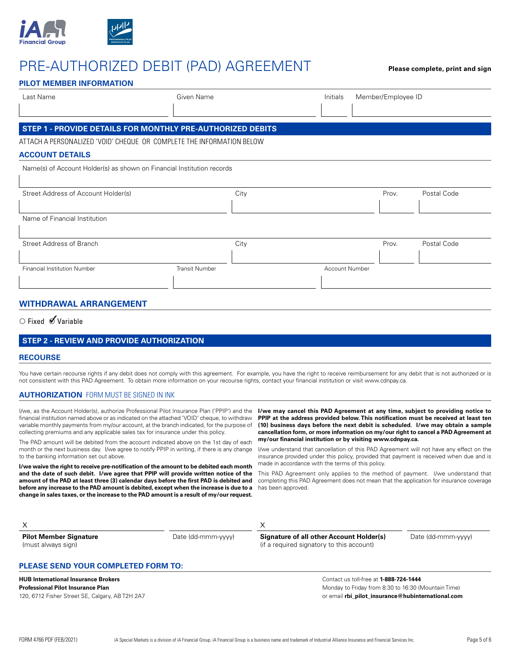

# PRE-AUTHORIZED DEBIT (PAD) AGREEMENT **Please complete, print and sign**

| Last Name                                                              | Given Name            |      | Initials       | Member/Employee ID |             |
|------------------------------------------------------------------------|-----------------------|------|----------------|--------------------|-------------|
| STEP 1 - PROVIDE DETAILS FOR MONTHLY PRE-AUTHORIZED DEBITS             |                       |      |                |                    |             |
| ATTACH A PERSONALIZED 'VOID' CHEQUE OR COMPLETE THE INFORMATION BELOW  |                       |      |                |                    |             |
| <b>ACCOUNT DETAILS</b>                                                 |                       |      |                |                    |             |
| Name(s) of Account Holder(s) as shown on Financial Institution records |                       |      |                |                    |             |
|                                                                        |                       |      |                |                    |             |
| Street Address of Account Holder(s)                                    |                       | City |                | Prov.              | Postal Code |
|                                                                        |                       |      |                |                    |             |
| Name of Financial Institution                                          |                       |      |                |                    |             |
|                                                                        |                       |      |                |                    |             |
| Street Address of Branch                                               |                       | City |                | Prov.              | Postal Code |
|                                                                        |                       |      |                |                    |             |
| <b>Financial Institution Number</b>                                    | <b>Transit Number</b> |      | Account Number |                    |             |
|                                                                        |                       |      |                |                    |             |

○ Fixed ØVariable

### **STEP 2 - REVIEW AND PROVIDE AUTHORIZATION**

### **RECOURSE**

You have certain recourse rights if any debit does not comply with this agreement. For example, you have the right to receive reimbursement for any debit that is not authorized or is not consistent with this PAD Agreement. To obtain more information on your recourse rights, contact your financial institution or visit www.cdnpay.ca.

### **AUTHORIZATION** FORM MUST BE SIGNED IN INK

I/we, as the Account Holder(s), authorize Professional Pilot Insurance Plan ('PPIP') and the financial institution named above or as indicated on the attached 'VOID' cheque, to withdraw variable monthly payments from my/our account, at the branch indicated, for the purpose of collecting premiums and any applicable sales tax for insurance under this policy.

The PAD amount will be debited from the account indicated above on the 1st day of each month or the next business day. I/we agree to notify PPIP in writing, if there is any change to the banking information set out above.

**I/we waive the right to receive pre-notification of the amount to be debited each month and the date of such debit. I/we agree that PPIP will provide written notice of the amount of the PAD at least three (3) calendar days before the first PAD is debited and before any increase to the PAD amount is debited, except when the increase is due to a change in sales taxes, or the increase to the PAD amount is a result of my/our request.**

**I/we may cancel this PAD Agreement at any time, subject to providing notice to PPIP at the address provided below. This notification must be received at least ten (10) business days before the next debit is scheduled. I/we may obtain a sample cancellation form, or more information on my/our right to cancel a PAD Agreement at my/our financial institution or by visiting www.cdnpay.ca.**

I/we understand that cancellation of this PAD Agreement will not have any effect on the insurance provided under this policy, provided that payment is received when due and is made in accordance with the terms of this policy.

This PAD Agreement only applies to the method of payment. I/we understand that completing this PAD Agreement does not mean that the application for insurance coverage has been approved.

| <b>Pilot Member Signature</b><br>(must always sign) | Date (dd-mmm-yyyy) | Signature of all other Account Holder(s)<br>(if a required signatory to this account) | Date (dd-mmm-yyyy) |  |  |
|-----------------------------------------------------|--------------------|---------------------------------------------------------------------------------------|--------------------|--|--|
| <b>PLEASE SEND YOUR COMPLETED FORM TO:</b>          |                    |                                                                                       |                    |  |  |

### **HUB International Insurance Brokers Professional Pilot Insurance Plan**

120, 6712 Fisher Street SE, Calgary, AB T2H 2A7

Contact us toll-free at **1-888-724-1444** Monday to Friday from 8:30 to 16:30 (Mountain Time) or email **rbi\_pilot\_insurance@hubinternational.com**